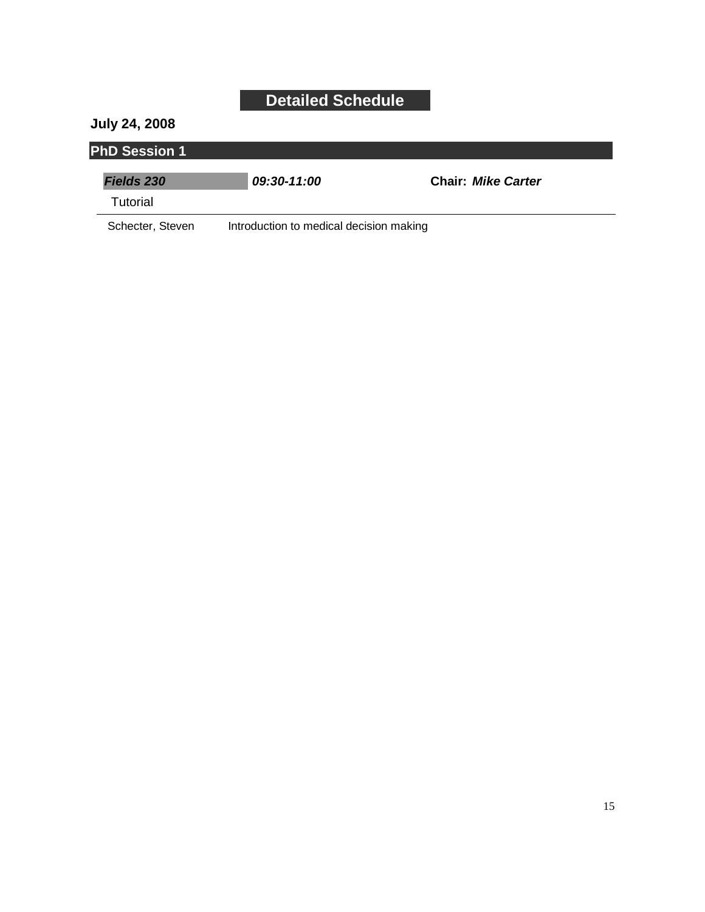#### **July 24, 2008**

#### **PhD Session 1**

| <b>Fields 230</b> | 09:30-11:00                             | <b>Chair: Mike Carter</b> |
|-------------------|-----------------------------------------|---------------------------|
| Tutorial          |                                         |                           |
| Schecter, Steven  | Introduction to medical decision making |                           |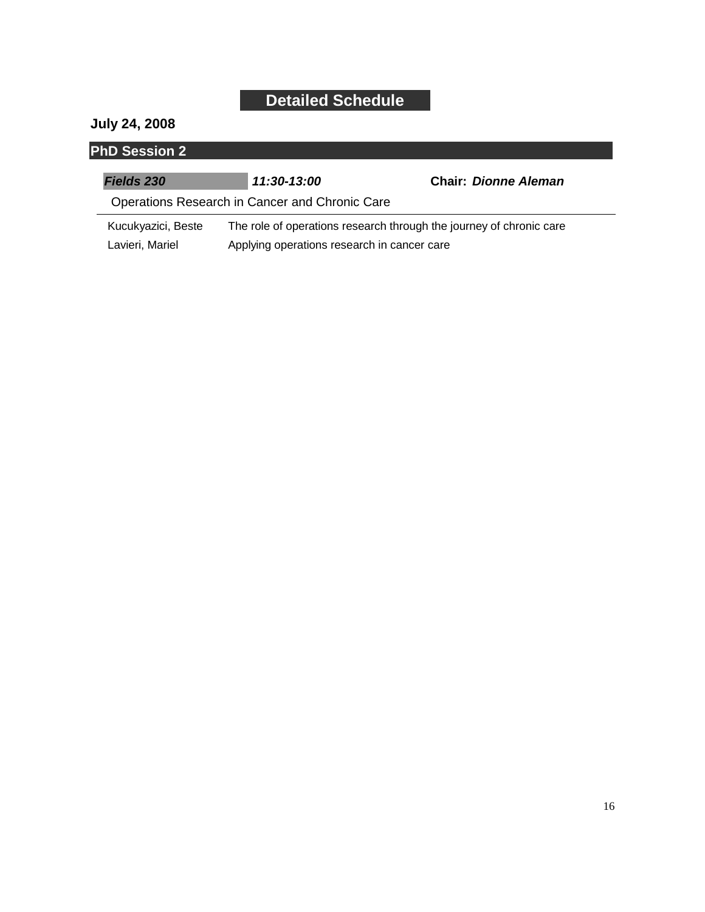#### **July 24, 2008**

| <b>PhD Session 2</b> |                                                |                                                                     |
|----------------------|------------------------------------------------|---------------------------------------------------------------------|
| <b>Fields 230</b>    | 11:30-13:00                                    | <b>Chair: Dionne Aleman</b>                                         |
|                      | Operations Research in Cancer and Chronic Care |                                                                     |
| Kucukyazici, Beste   |                                                | The role of operations research through the journey of chronic care |

Lavieri, Mariel Applying operations research in cancer care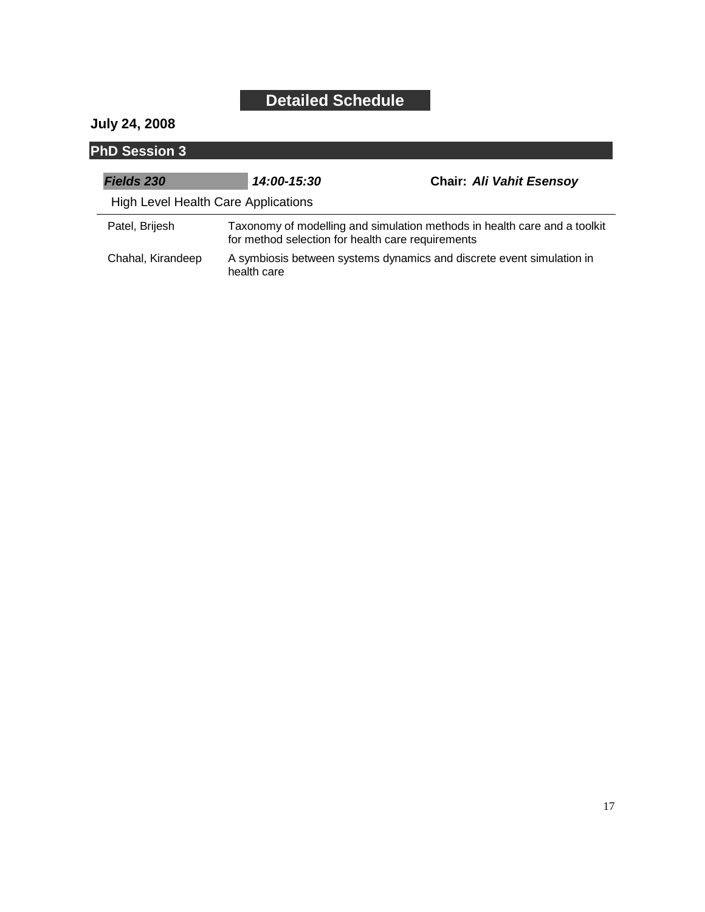#### **July 24, 2008**

| <b>PhD Session 3</b>                       |                                                                                                                                |                                 |  |
|--------------------------------------------|--------------------------------------------------------------------------------------------------------------------------------|---------------------------------|--|
| <b>Fields 230</b>                          | 14:00-15:30                                                                                                                    | <b>Chair: Ali Vahit Esensoy</b> |  |
| <b>High Level Health Care Applications</b> |                                                                                                                                |                                 |  |
| Patel, Brijesh                             | Taxonomy of modelling and simulation methods in health care and a toolkit<br>for method selection for health care requirements |                                 |  |
| Chahal, Kirandeep                          | A symbiosis between systems dynamics and discrete event simulation in<br>health care                                           |                                 |  |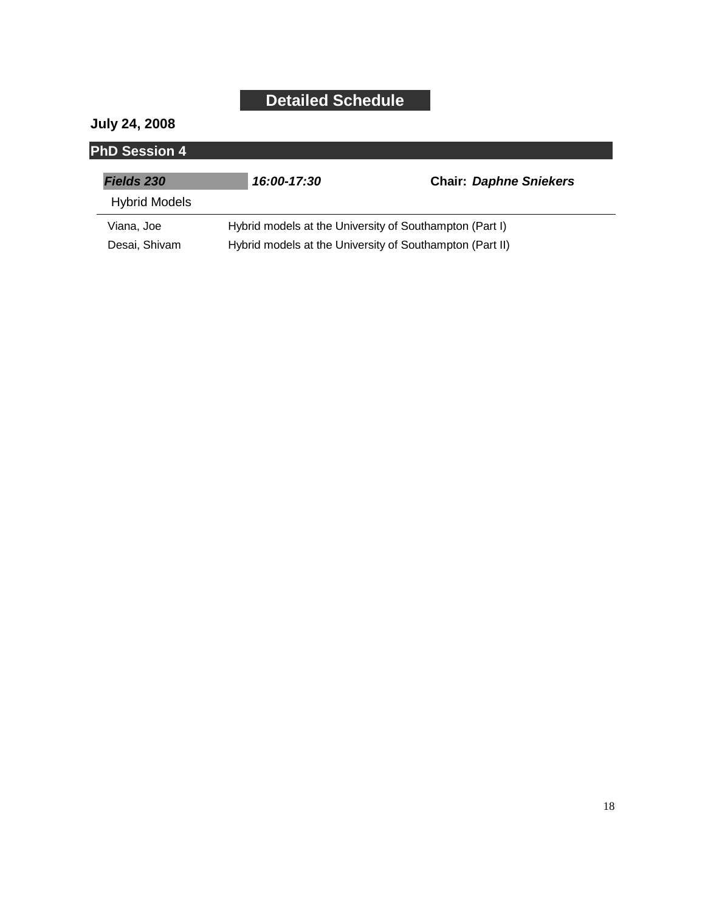#### **July 24, 2008**

| <b>PhD Session 4</b> |                                                          |                               |
|----------------------|----------------------------------------------------------|-------------------------------|
| <b>Fields 230</b>    | 16:00-17:30                                              | <b>Chair: Daphne Sniekers</b> |
| <b>Hybrid Models</b> |                                                          |                               |
| Viana, Joe           | Hybrid models at the University of Southampton (Part I)  |                               |
| Desai, Shivam        | Hybrid models at the University of Southampton (Part II) |                               |

 $\overline{\phantom{0}}$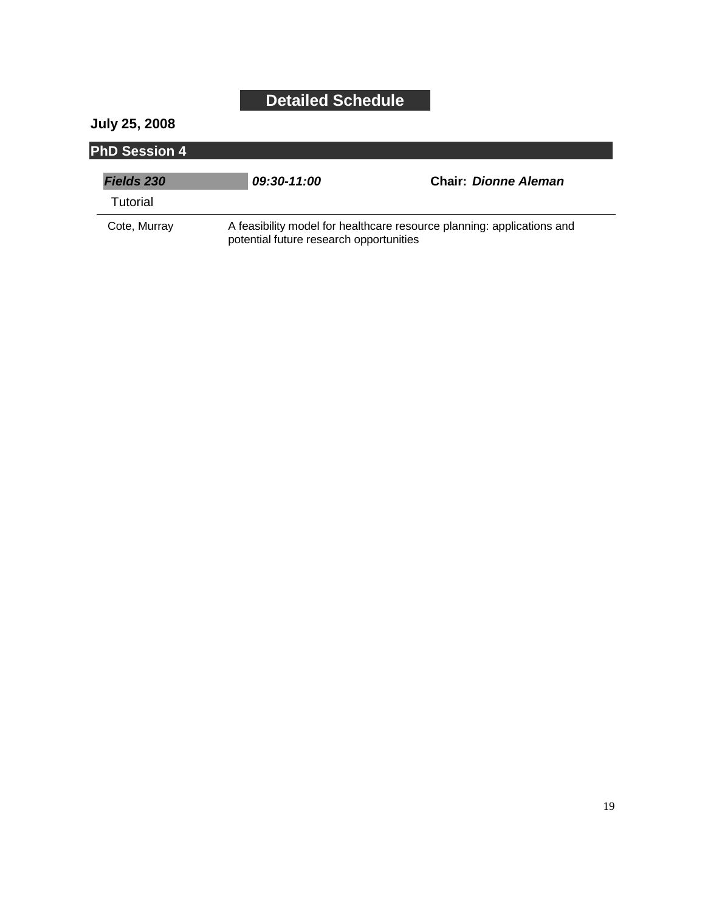#### **July 25, 2008**

| <b>PhD Session 4</b> |                                                                                                                   |                             |
|----------------------|-------------------------------------------------------------------------------------------------------------------|-----------------------------|
| <b>Fields 230</b>    | 09:30-11:00                                                                                                       | <b>Chair: Dionne Aleman</b> |
| Tutorial             |                                                                                                                   |                             |
| Cote, Murray         | A feasibility model for healthcare resource planning: applications and<br>potential future research opportunities |                             |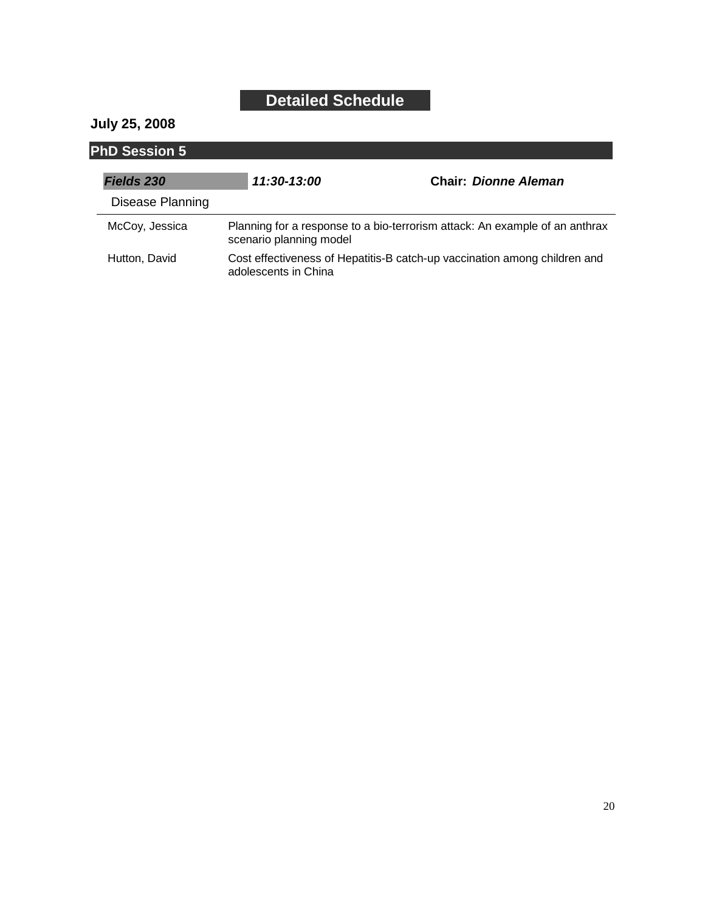#### **July 25, 2008**

| <b>PhD Session 5</b> |                                                                                                        |                                                                           |
|----------------------|--------------------------------------------------------------------------------------------------------|---------------------------------------------------------------------------|
| Fields 230           | 11:30-13:00                                                                                            | <b>Chair: Dionne Aleman</b>                                               |
| Disease Planning     |                                                                                                        |                                                                           |
| McCoy, Jessica       | Planning for a response to a bio-terrorism attack: An example of an anthrax<br>scenario planning model |                                                                           |
| Hutton, David        | adolescents in China                                                                                   | Cost effectiveness of Hepatitis-B catch-up vaccination among children and |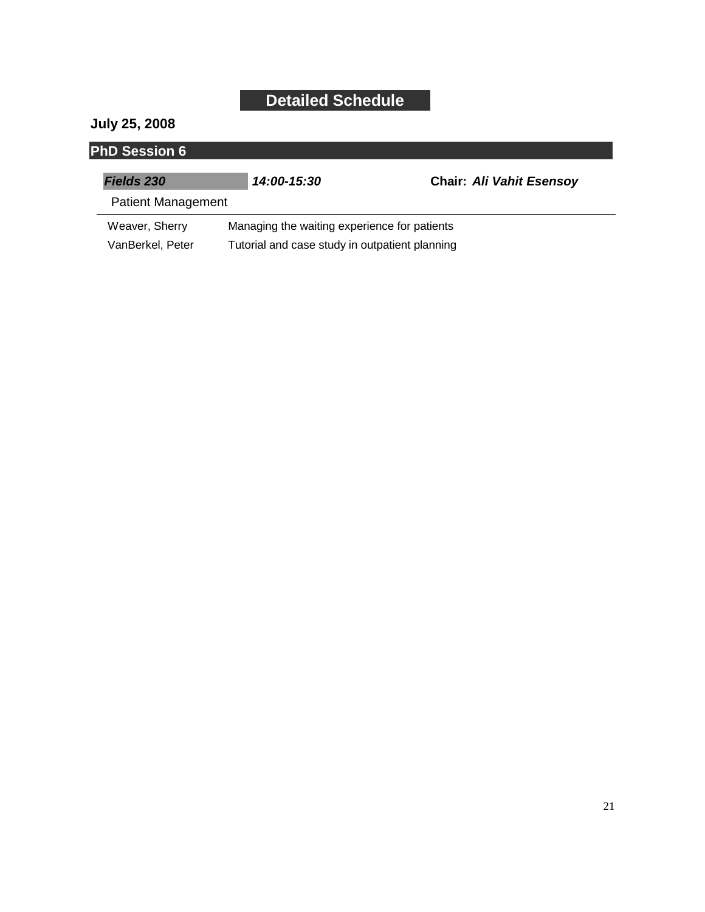#### **July 25, 2008**

| <b>PhD Session 6</b>      |                                                |                                 |  |
|---------------------------|------------------------------------------------|---------------------------------|--|
| <b>Fields 230</b>         | 14:00-15:30                                    | <b>Chair: Ali Vahit Esensoy</b> |  |
| <b>Patient Management</b> |                                                |                                 |  |
| Weaver, Sherry            | Managing the waiting experience for patients   |                                 |  |
| VanBerkel, Peter          | Tutorial and case study in outpatient planning |                                 |  |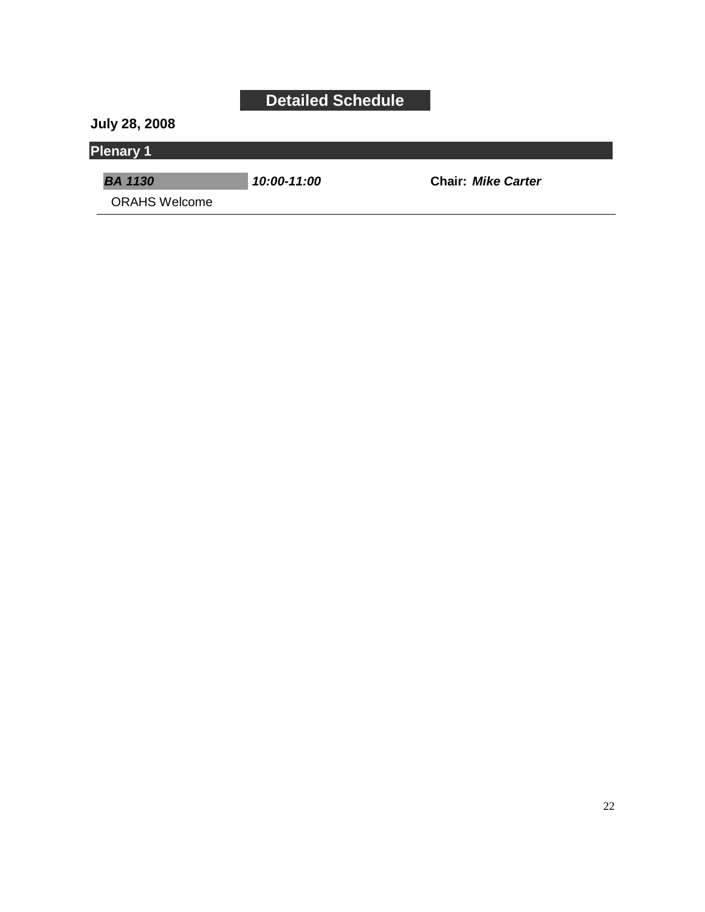**July 28, 2008**

#### **Plenary 1**

*BA 1130 10:00-11:00* **Chair:** *Mike Carter*

ORAHS Welcome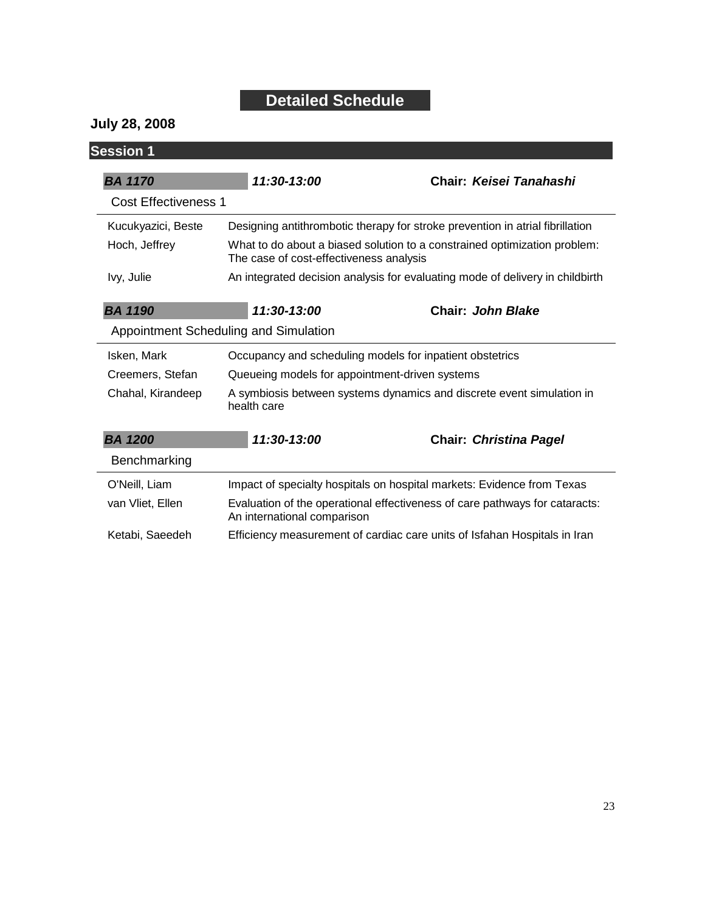#### **July 28, 2008**

| <b>Session 1</b>                                                        |                                                |                                                                               |
|-------------------------------------------------------------------------|------------------------------------------------|-------------------------------------------------------------------------------|
| <b>BA 1170</b>                                                          | 11:30-13:00                                    | Chair: Keisei Tanahashi                                                       |
| Cost Effectiveness 1                                                    |                                                |                                                                               |
| Kucukyazici, Beste                                                      |                                                | Designing antithrombotic therapy for stroke prevention in atrial fibrillation |
| Hoch, Jeffrey                                                           | The case of cost-effectiveness analysis        | What to do about a biased solution to a constrained optimization problem:     |
| Ivy, Julie                                                              |                                                | An integrated decision analysis for evaluating mode of delivery in childbirth |
| <b>BA 1190</b>                                                          | 11:30-13:00                                    | <b>Chair: John Blake</b>                                                      |
|                                                                         | Appointment Scheduling and Simulation          |                                                                               |
| Isken, Mark<br>Occupancy and scheduling models for inpatient obstetrics |                                                |                                                                               |
|                                                                         |                                                |                                                                               |
| Creemers, Stefan                                                        | Queueing models for appointment-driven systems |                                                                               |
| Chahal, Kirandeep                                                       | health care                                    | A symbiosis between systems dynamics and discrete event simulation in         |
| <b>BA 1200</b>                                                          | 11:30-13:00                                    | <b>Chair: Christina Pagel</b>                                                 |
| Benchmarking                                                            |                                                |                                                                               |
| O'Neill, Liam                                                           |                                                | Impact of specialty hospitals on hospital markets: Evidence from Texas        |
| van Vliet, Ellen                                                        | An international comparison                    | Evaluation of the operational effectiveness of care pathways for cataracts:   |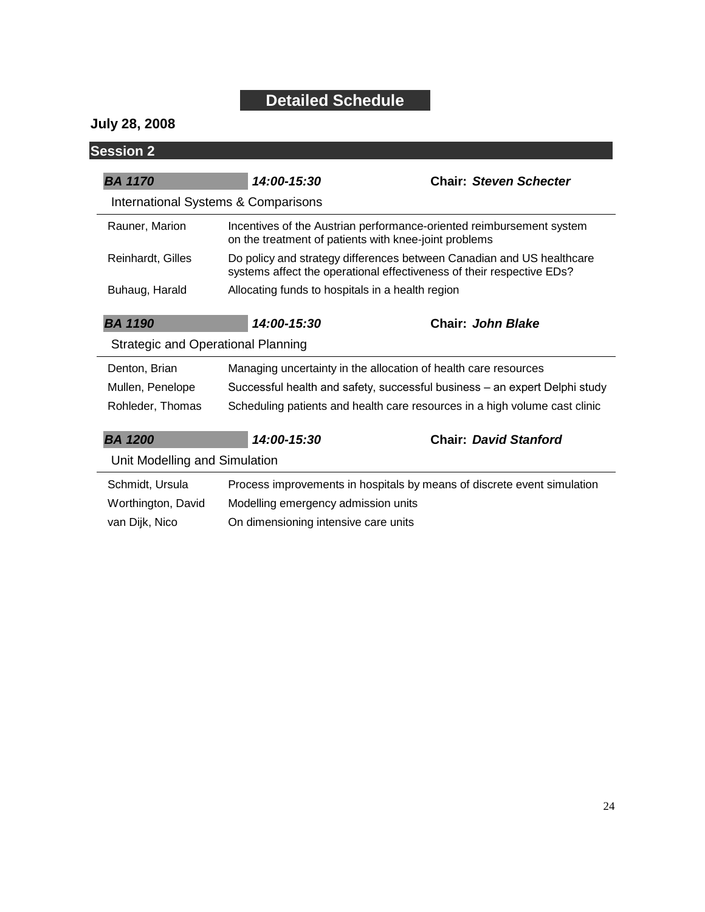#### **July 28, 2008**

| <b>Session 2</b>                          |                                                                                                                                                |                                                                            |
|-------------------------------------------|------------------------------------------------------------------------------------------------------------------------------------------------|----------------------------------------------------------------------------|
| <b>BA 1170</b>                            | $14:00-15:30$                                                                                                                                  | <b>Chair: Steven Schecter</b>                                              |
|                                           | International Systems & Comparisons                                                                                                            |                                                                            |
| Rauner, Marion                            | Incentives of the Austrian performance-oriented reimbursement system<br>on the treatment of patients with knee-joint problems                  |                                                                            |
| Reinhardt, Gilles                         | Do policy and strategy differences between Canadian and US healthcare<br>systems affect the operational effectiveness of their respective EDs? |                                                                            |
| Buhaug, Harald                            | Allocating funds to hospitals in a health region                                                                                               |                                                                            |
| <b>BA 1190</b>                            | 14:00-15:30                                                                                                                                    | Chair: John Blake                                                          |
| <b>Strategic and Operational Planning</b> |                                                                                                                                                |                                                                            |
| Denton, Brian                             | Managing uncertainty in the allocation of health care resources                                                                                |                                                                            |
| Mullen, Penelope                          | Successful health and safety, successful business – an expert Delphi study                                                                     |                                                                            |
|                                           |                                                                                                                                                |                                                                            |
| Rohleder, Thomas                          |                                                                                                                                                | Scheduling patients and health care resources in a high volume cast clinic |
| <b>BA 1200</b>                            | 14:00-15:30                                                                                                                                    | <b>Chair: David Stanford</b>                                               |
| Unit Modelling and Simulation             |                                                                                                                                                |                                                                            |
| Schmidt, Ursula                           |                                                                                                                                                | Process improvements in hospitals by means of discrete event simulation    |
| Worthington, David                        | Modelling emergency admission units                                                                                                            |                                                                            |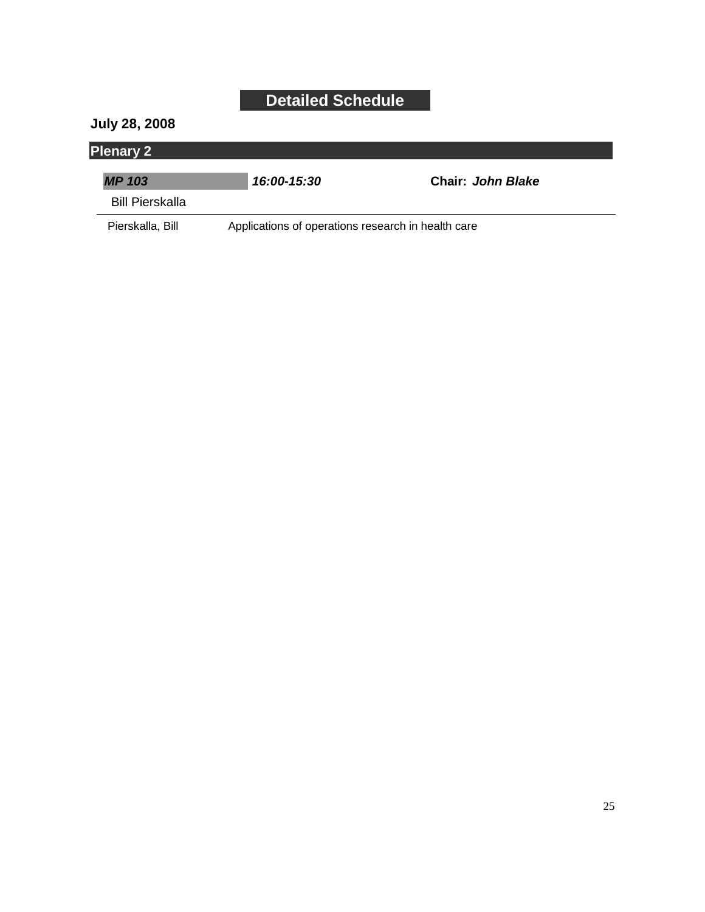#### **July 28, 2008**

### **Plenary 2**

| <b>MP 103</b>    | 16:00-15:30                                        | Chair: John Blake |
|------------------|----------------------------------------------------|-------------------|
| Bill Pierskalla  |                                                    |                   |
| Pierskalla, Bill | Applications of operations research in health care |                   |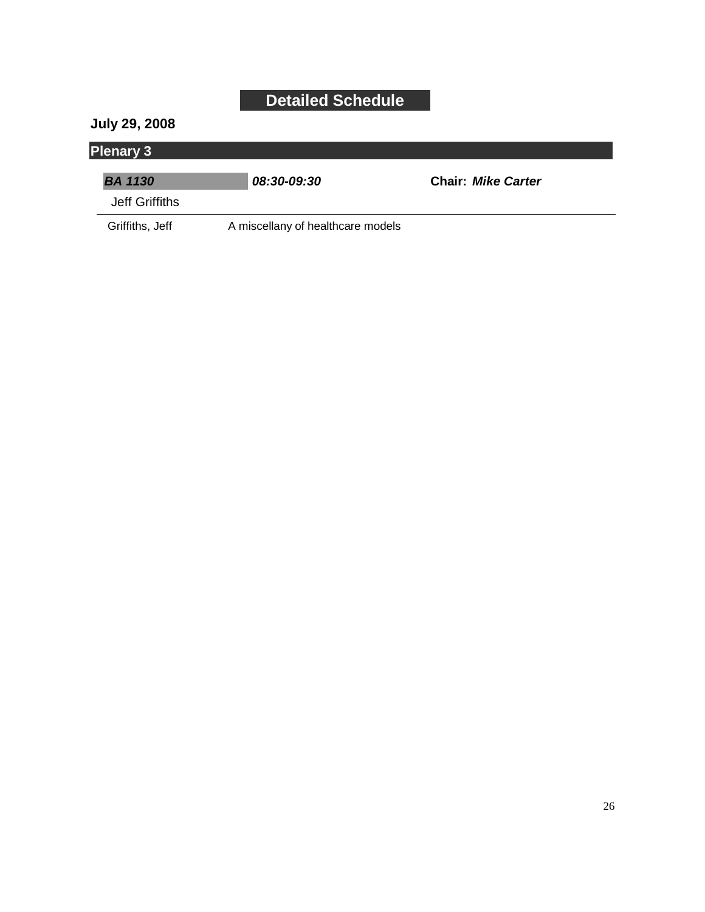#### **July 29, 2008**

### **Plenary 3**

| <b>BA 1130</b>  | <i><b>08:30-09:30</b></i>         | <b>Chair: Mike Carter</b> |
|-----------------|-----------------------------------|---------------------------|
| Jeff Griffiths  |                                   |                           |
| Griffiths, Jeff | A miscellany of healthcare models |                           |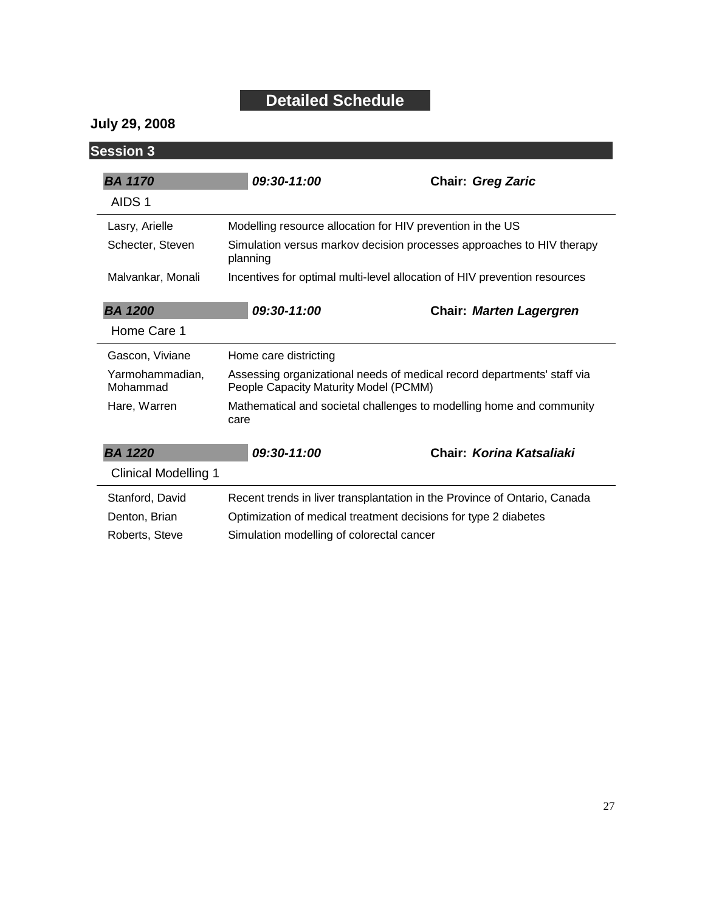**July 29, 2008**

| <b>Session 3</b>            |                                                                                                                  |                                                                           |
|-----------------------------|------------------------------------------------------------------------------------------------------------------|---------------------------------------------------------------------------|
| <b>BA 1170</b>              | 09:30-11:00                                                                                                      | <b>Chair: Greg Zaric</b>                                                  |
| AIDS <sub>1</sub>           |                                                                                                                  |                                                                           |
| Lasry, Arielle              | Modelling resource allocation for HIV prevention in the US                                                       |                                                                           |
| Schecter, Steven            | Simulation versus markov decision processes approaches to HIV therapy<br>planning                                |                                                                           |
| Malvankar, Monali           |                                                                                                                  | Incentives for optimal multi-level allocation of HIV prevention resources |
| <b>BA 1200</b>              | 09:30-11:00                                                                                                      | <b>Chair: Marten Lagergren</b>                                            |
| Home Care 1                 |                                                                                                                  |                                                                           |
| Gascon, Viviane             | Home care districting                                                                                            |                                                                           |
| Yarmohammadian,<br>Mohammad | Assessing organizational needs of medical record departments' staff via<br>People Capacity Maturity Model (PCMM) |                                                                           |
| Hare, Warren                | Mathematical and societal challenges to modelling home and community<br>care                                     |                                                                           |
| <b>BA 1220</b>              | 09:30-11:00                                                                                                      | Chair: Korina Katsaliaki                                                  |
| <b>Clinical Modelling 1</b> |                                                                                                                  |                                                                           |
| Stanford, David             |                                                                                                                  | Recent trends in liver transplantation in the Province of Ontario, Canada |
| Denton, Brian               | Optimization of medical treatment decisions for type 2 diabetes                                                  |                                                                           |
| Roberts, Steve              | Simulation modelling of colorectal cancer                                                                        |                                                                           |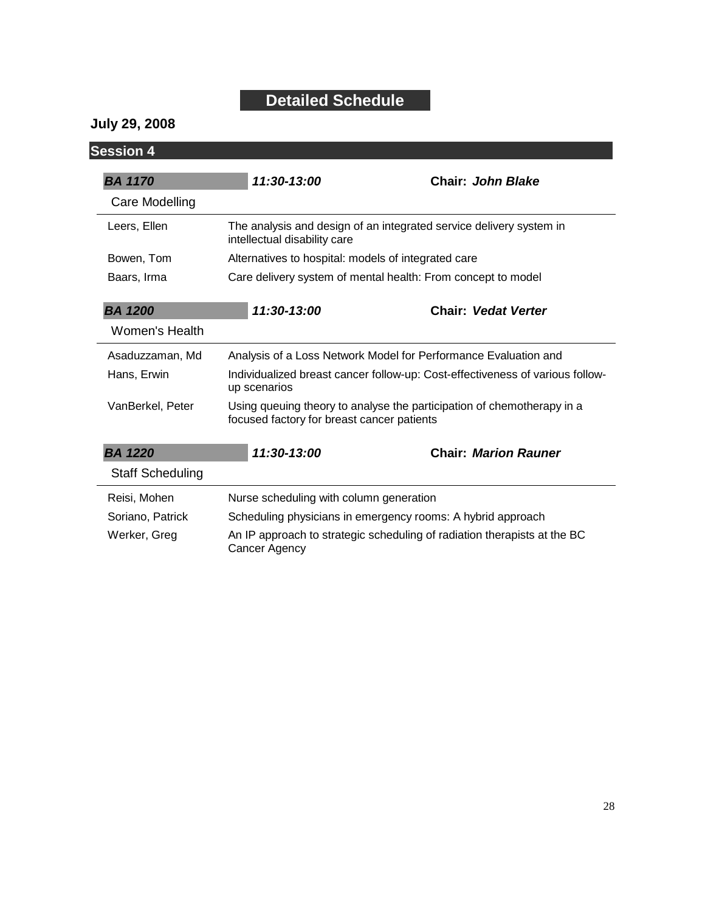#### **July 29, 2008**

| <b>Session 4</b>        |                                                                                                                      |                                                                     |  |
|-------------------------|----------------------------------------------------------------------------------------------------------------------|---------------------------------------------------------------------|--|
| <b>BA 1170</b>          | 11:30-13:00                                                                                                          | Chair: John Blake                                                   |  |
| Care Modelling          |                                                                                                                      |                                                                     |  |
| Leers, Ellen            | intellectual disability care                                                                                         | The analysis and design of an integrated service delivery system in |  |
| Bowen, Tom              |                                                                                                                      | Alternatives to hospital: models of integrated care                 |  |
| Baars, Irma             | Care delivery system of mental health: From concept to model                                                         |                                                                     |  |
| <b>BA 1200</b>          | 11:30-13:00                                                                                                          | <b>Chair: Vedat Verter</b>                                          |  |
| Women's Health          |                                                                                                                      |                                                                     |  |
| Asaduzzaman, Md         |                                                                                                                      | Analysis of a Loss Network Model for Performance Evaluation and     |  |
| Hans, Erwin             | Individualized breast cancer follow-up: Cost-effectiveness of various follow-<br>up scenarios                        |                                                                     |  |
| VanBerkel, Peter        | Using queuing theory to analyse the participation of chemotherapy in a<br>focused factory for breast cancer patients |                                                                     |  |
| <b>BA 1220</b>          | 11:30-13:00                                                                                                          | <b>Chair: Marion Rauner</b>                                         |  |
| <b>Staff Scheduling</b> |                                                                                                                      |                                                                     |  |
| Reisi, Mohen            |                                                                                                                      | Nurse scheduling with column generation                             |  |
| Soriano, Patrick        | Scheduling physicians in emergency rooms: A hybrid approach                                                          |                                                                     |  |
| Werker, Greg            | An IP approach to strategic scheduling of radiation therapists at the BC<br><b>Cancer Agency</b>                     |                                                                     |  |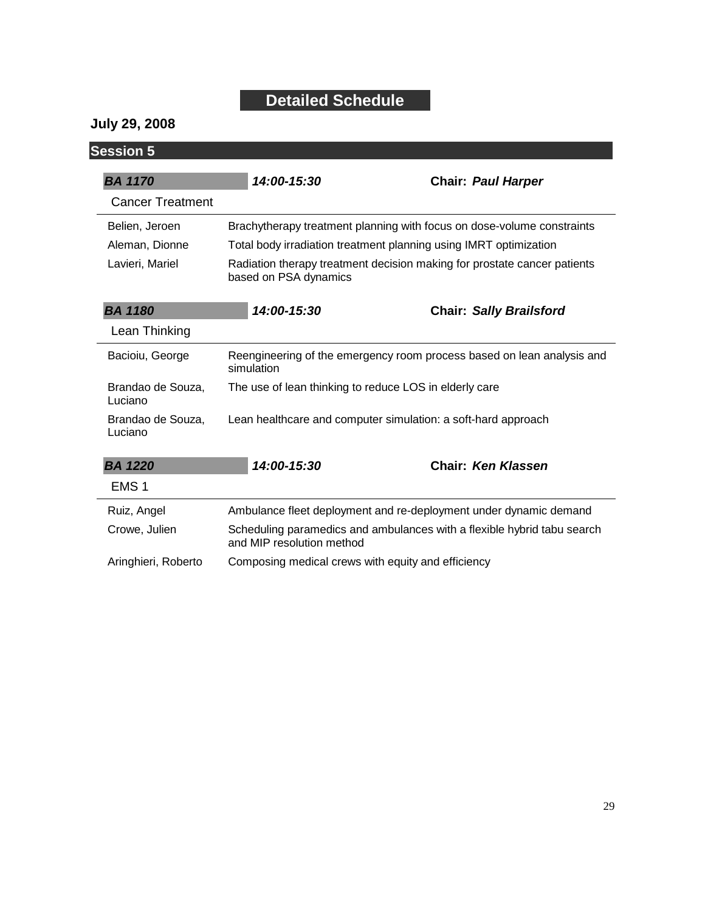#### **July 29, 2008**

| <b>Session 5</b>             |                                                                                                      |                                                                   |
|------------------------------|------------------------------------------------------------------------------------------------------|-------------------------------------------------------------------|
| <b>BA 1170</b>               | 14:00-15:30                                                                                          | <b>Chair: Paul Harper</b>                                         |
| <b>Cancer Treatment</b>      |                                                                                                      |                                                                   |
| Belien, Jeroen               | Brachytherapy treatment planning with focus on dose-volume constraints                               |                                                                   |
| Aleman, Dionne               | Total body irradiation treatment planning using IMRT optimization                                    |                                                                   |
| Lavieri, Mariel              | Radiation therapy treatment decision making for prostate cancer patients<br>based on PSA dynamics    |                                                                   |
| <b>BA 1180</b>               | 14:00-15:30                                                                                          | <b>Chair: Sally Brailsford</b>                                    |
| Lean Thinking                |                                                                                                      |                                                                   |
| Bacioiu, George              | Reengineering of the emergency room process based on lean analysis and<br>simulation                 |                                                                   |
| Brandao de Souza,<br>Luciano | The use of lean thinking to reduce LOS in elderly care                                               |                                                                   |
| Brandao de Souza,<br>Luciano | Lean healthcare and computer simulation: a soft-hard approach                                        |                                                                   |
| <b>BA 1220</b>               | 14:00-15:30                                                                                          | <b>Chair: Ken Klassen</b>                                         |
| EMS <sub>1</sub>             |                                                                                                      |                                                                   |
| Ruiz, Angel                  |                                                                                                      | Ambulance fleet deployment and re-deployment under dynamic demand |
| Crowe, Julien                | Scheduling paramedics and ambulances with a flexible hybrid tabu search<br>and MIP resolution method |                                                                   |
| Aringhieri, Roberto          | Composing medical crews with equity and efficiency                                                   |                                                                   |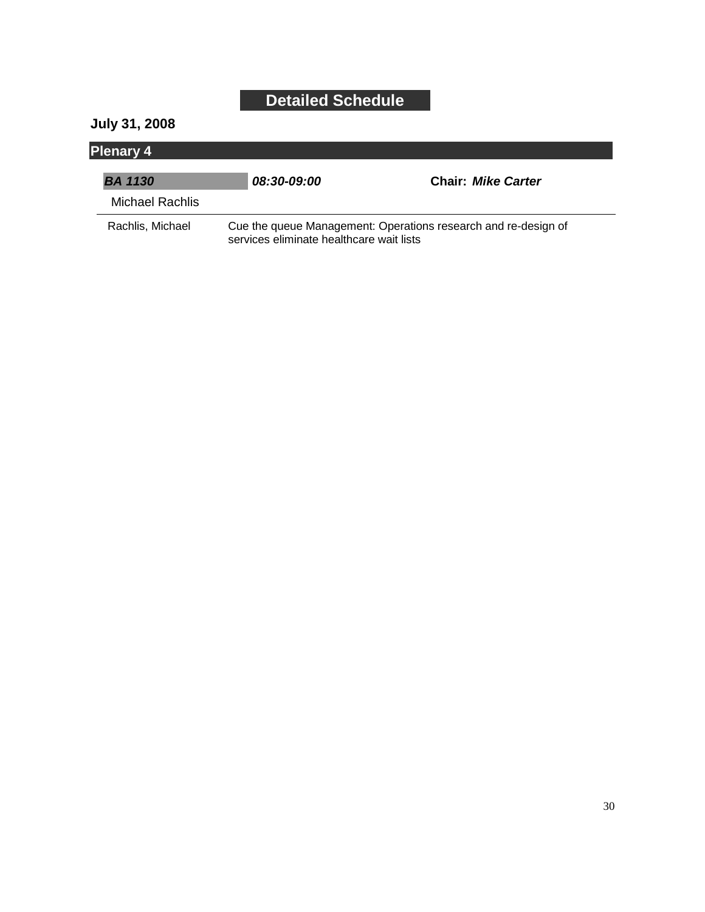#### **July 31, 2008**

| <b>Plenary 4</b> |                                                                                                            |                           |  |
|------------------|------------------------------------------------------------------------------------------------------------|---------------------------|--|
| <b>BA 1130</b>   | <i><b>08:30-09:00</b></i>                                                                                  | <b>Chair: Mike Carter</b> |  |
| Michael Rachlis  |                                                                                                            |                           |  |
| Rachlis, Michael | Cue the queue Management: Operations research and re-design of<br>services eliminate healthcare wait lists |                           |  |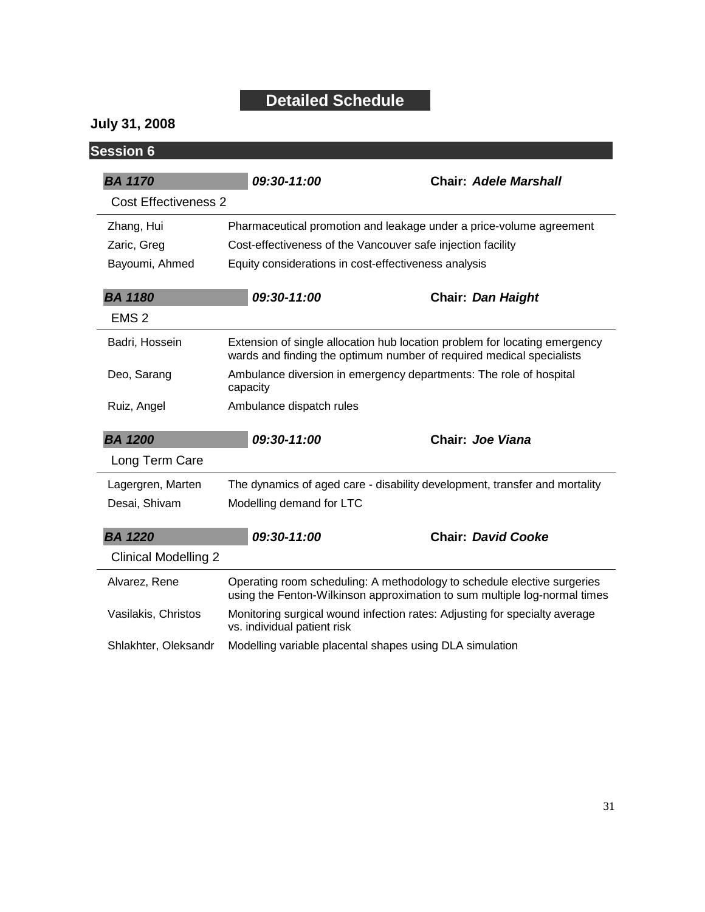#### **July 31, 2008**

| <b>Session 6</b>            |                                                                                                                                                      |                              |
|-----------------------------|------------------------------------------------------------------------------------------------------------------------------------------------------|------------------------------|
| <b>BA 1170</b>              | 09:30-11:00                                                                                                                                          | <b>Chair: Adele Marshall</b> |
| <b>Cost Effectiveness 2</b> |                                                                                                                                                      |                              |
| Zhang, Hui                  | Pharmaceutical promotion and leakage under a price-volume agreement                                                                                  |                              |
| Zaric, Greg                 | Cost-effectiveness of the Vancouver safe injection facility                                                                                          |                              |
| Bayoumi, Ahmed              | Equity considerations in cost-effectiveness analysis                                                                                                 |                              |
| <b>BA 1180</b>              | 09:30-11:00                                                                                                                                          | <b>Chair: Dan Haight</b>     |
| EMS <sub>2</sub>            |                                                                                                                                                      |                              |
| Badri, Hossein              | Extension of single allocation hub location problem for locating emergency<br>wards and finding the optimum number of required medical specialists   |                              |
| Deo, Sarang                 | Ambulance diversion in emergency departments: The role of hospital<br>capacity                                                                       |                              |
| Ruiz, Angel                 | Ambulance dispatch rules                                                                                                                             |                              |
| <b>BA 1200</b>              | 09:30-11:00                                                                                                                                          | Chair: Joe Viana             |
| Long Term Care              |                                                                                                                                                      |                              |
| Lagergren, Marten           | The dynamics of aged care - disability development, transfer and mortality                                                                           |                              |
| Desai, Shivam               | Modelling demand for LTC                                                                                                                             |                              |
| <b>BA 1220</b>              | 09:30-11:00                                                                                                                                          | <b>Chair: David Cooke</b>    |
| <b>Clinical Modelling 2</b> |                                                                                                                                                      |                              |
| Alvarez, Rene               | Operating room scheduling: A methodology to schedule elective surgeries<br>using the Fenton-Wilkinson approximation to sum multiple log-normal times |                              |
| Vasilakis, Christos         | Monitoring surgical wound infection rates: Adjusting for specialty average<br>vs. individual patient risk                                            |                              |
| Shlakhter, Oleksandr        | Modelling variable placental shapes using DLA simulation                                                                                             |                              |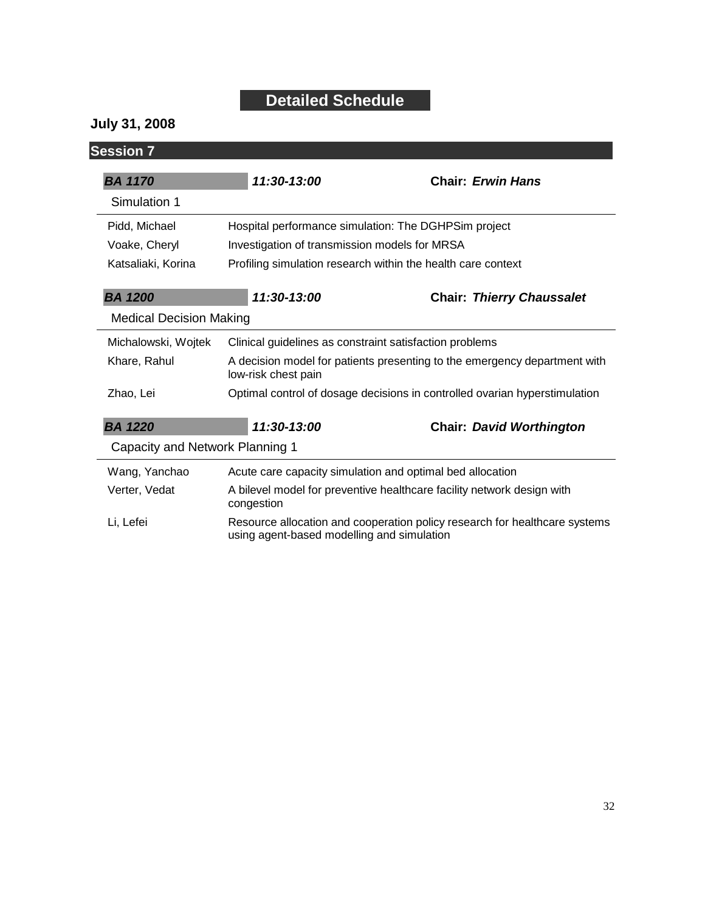#### **July 31, 2008**

| <b>Session 7</b>                |                                                                                                                          |                                  |
|---------------------------------|--------------------------------------------------------------------------------------------------------------------------|----------------------------------|
| <b>BA 1170</b>                  | 11:30-13:00                                                                                                              | <b>Chair: Erwin Hans</b>         |
| Simulation 1                    |                                                                                                                          |                                  |
| Pidd, Michael                   | Hospital performance simulation: The DGHPSim project                                                                     |                                  |
| Voake, Cheryl                   | Investigation of transmission models for MRSA                                                                            |                                  |
| Katsaliaki, Korina              | Profiling simulation research within the health care context                                                             |                                  |
| <b>BA 1200</b>                  | 11:30-13:00                                                                                                              | <b>Chair: Thierry Chaussalet</b> |
| <b>Medical Decision Making</b>  |                                                                                                                          |                                  |
| Michalowski, Wojtek             | Clinical guidelines as constraint satisfaction problems                                                                  |                                  |
| Khare, Rahul                    | A decision model for patients presenting to the emergency department with<br>low-risk chest pain                         |                                  |
| Zhao, Lei                       | Optimal control of dosage decisions in controlled ovarian hyperstimulation                                               |                                  |
| <b>BA 1220</b>                  | 11:30-13:00                                                                                                              | <b>Chair: David Worthington</b>  |
| Capacity and Network Planning 1 |                                                                                                                          |                                  |
| Wang, Yanchao                   | Acute care capacity simulation and optimal bed allocation                                                                |                                  |
| Verter, Vedat                   | A bilevel model for preventive healthcare facility network design with<br>congestion                                     |                                  |
| Li, Lefei                       | Resource allocation and cooperation policy research for healthcare systems<br>using agent-based modelling and simulation |                                  |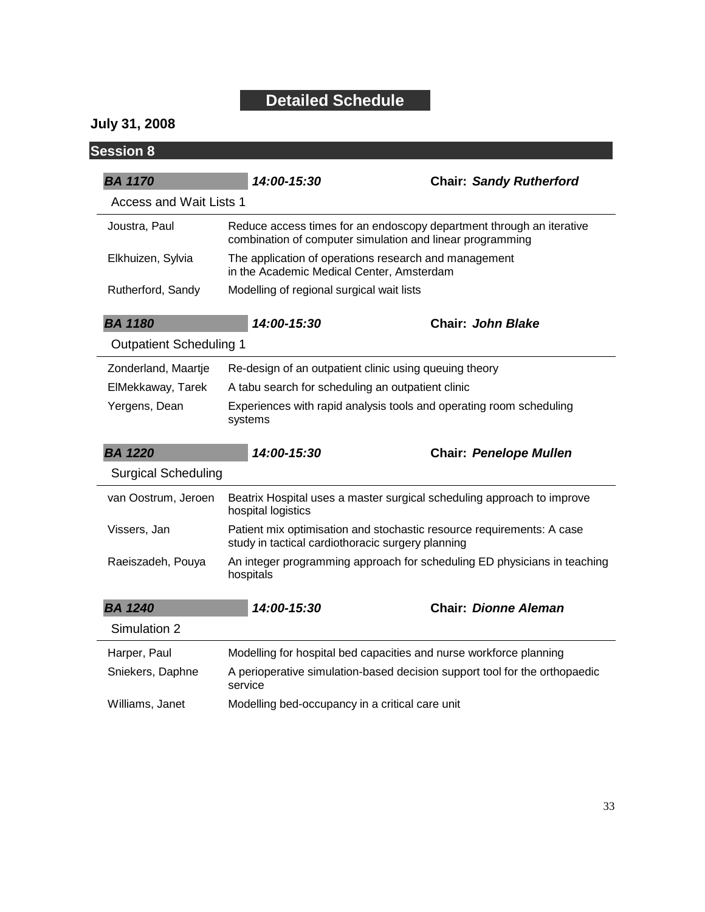**July 31, 2008**

| <b>Session 8</b>                      |                                                                                                                                   |                                                                            |
|---------------------------------------|-----------------------------------------------------------------------------------------------------------------------------------|----------------------------------------------------------------------------|
| <b>BA 1170</b>                        | 14:00-15:30                                                                                                                       | <b>Chair: Sandy Rutherford</b>                                             |
| <b>Access and Wait Lists 1</b>        |                                                                                                                                   |                                                                            |
| Joustra, Paul                         | Reduce access times for an endoscopy department through an iterative<br>combination of computer simulation and linear programming |                                                                            |
| Elkhuizen, Sylvia                     | The application of operations research and management<br>in the Academic Medical Center, Amsterdam                                |                                                                            |
| Rutherford, Sandy                     | Modelling of regional surgical wait lists                                                                                         |                                                                            |
| <b>BA 1180</b>                        | 14:00-15:30                                                                                                                       | Chair: John Blake                                                          |
| <b>Outpatient Scheduling 1</b>        |                                                                                                                                   |                                                                            |
| Zonderland, Maartje                   | Re-design of an outpatient clinic using queuing theory                                                                            |                                                                            |
| ElMekkaway, Tarek                     | A tabu search for scheduling an outpatient clinic                                                                                 |                                                                            |
| Yergens, Dean                         | Experiences with rapid analysis tools and operating room scheduling<br>systems                                                    |                                                                            |
|                                       |                                                                                                                                   |                                                                            |
|                                       | 14:00-15:30                                                                                                                       | <b>Chair: Penelope Mullen</b>                                              |
| <b>Surgical Scheduling</b>            |                                                                                                                                   |                                                                            |
| <b>BA 1220</b><br>van Oostrum, Jeroen | hospital logistics                                                                                                                | Beatrix Hospital uses a master surgical scheduling approach to improve     |
| Vissers, Jan                          | study in tactical cardiothoracic surgery planning                                                                                 | Patient mix optimisation and stochastic resource requirements: A case      |
| Raeiszadeh, Pouya                     | hospitals                                                                                                                         | An integer programming approach for scheduling ED physicians in teaching   |
| <b>BA 1240</b>                        | 14:00-15:30                                                                                                                       | <b>Chair: Dionne Aleman</b>                                                |
| Simulation 2                          |                                                                                                                                   |                                                                            |
| Harper, Paul                          |                                                                                                                                   | Modelling for hospital bed capacities and nurse workforce planning         |
| Sniekers, Daphne                      | service                                                                                                                           | A perioperative simulation-based decision support tool for the orthopaedic |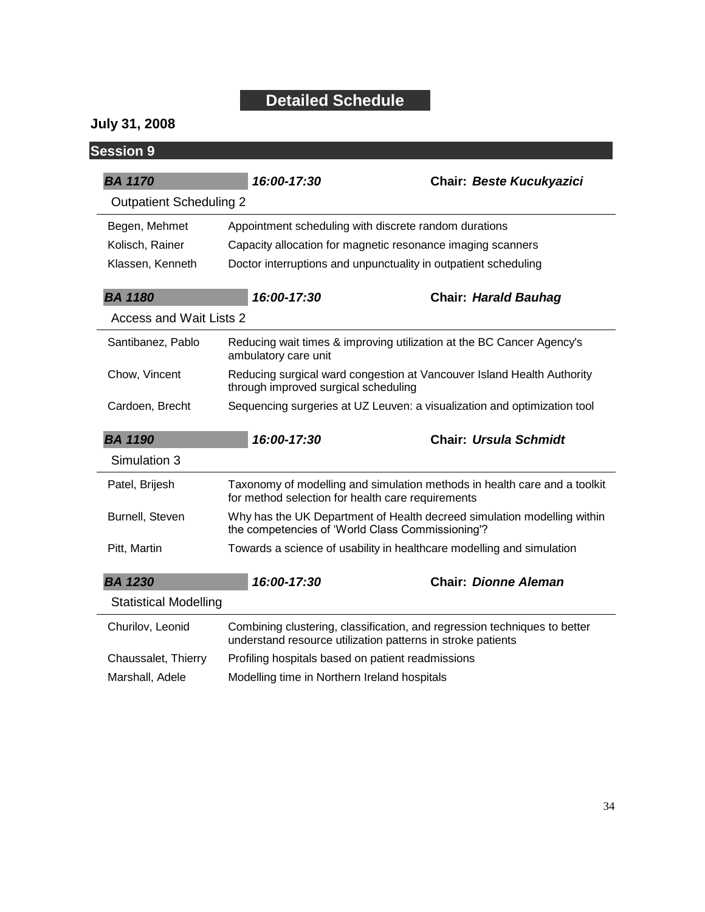**July 31, 2008**

| <b>Session 9</b>               |                                                                                                                                          |                                                                       |
|--------------------------------|------------------------------------------------------------------------------------------------------------------------------------------|-----------------------------------------------------------------------|
| <b>BA 1170</b>                 | 16:00-17:30                                                                                                                              | <b>Chair: Beste Kucukyazici</b>                                       |
| <b>Outpatient Scheduling 2</b> |                                                                                                                                          |                                                                       |
| Begen, Mehmet                  | Appointment scheduling with discrete random durations                                                                                    |                                                                       |
| Kolisch, Rainer                | Capacity allocation for magnetic resonance imaging scanners                                                                              |                                                                       |
| Klassen, Kenneth               | Doctor interruptions and unpunctuality in outpatient scheduling                                                                          |                                                                       |
| <b>BA 1180</b>                 | 16:00-17:30                                                                                                                              | <b>Chair: Harald Bauhag</b>                                           |
| Access and Wait Lists 2        |                                                                                                                                          |                                                                       |
| Santibanez, Pablo              | ambulatory care unit                                                                                                                     | Reducing wait times & improving utilization at the BC Cancer Agency's |
| Chow, Vincent                  | Reducing surgical ward congestion at Vancouver Island Health Authority<br>through improved surgical scheduling                           |                                                                       |
| Cardoen, Brecht                | Sequencing surgeries at UZ Leuven: a visualization and optimization tool                                                                 |                                                                       |
| <b>BA 1190</b>                 | 16:00-17:30                                                                                                                              | <b>Chair: Ursula Schmidt</b>                                          |
| Simulation 3                   |                                                                                                                                          |                                                                       |
| Patel, Brijesh                 | Taxonomy of modelling and simulation methods in health care and a toolkit<br>for method selection for health care requirements           |                                                                       |
| Burnell, Steven                | Why has the UK Department of Health decreed simulation modelling within<br>the competencies of 'World Class Commissioning'?              |                                                                       |
| Pitt, Martin                   | Towards a science of usability in healthcare modelling and simulation                                                                    |                                                                       |
| <b>BA 1230</b>                 | 16:00-17:30                                                                                                                              | <b>Chair: Dionne Aleman</b>                                           |
| <b>Statistical Modelling</b>   |                                                                                                                                          |                                                                       |
| Churilov, Leonid               | Combining clustering, classification, and regression techniques to better<br>understand resource utilization patterns in stroke patients |                                                                       |
| Chaussalet, Thierry            | Profiling hospitals based on patient readmissions                                                                                        |                                                                       |
|                                |                                                                                                                                          |                                                                       |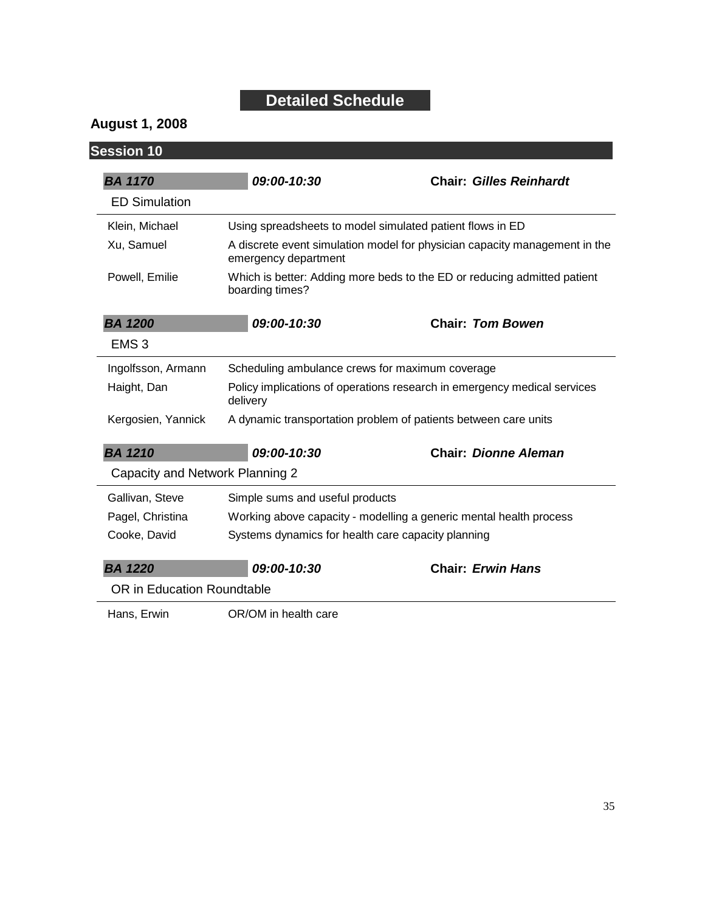#### **August 1, 2008**

| <b>Session 10</b>               |                                                                                                    |                                                           |
|---------------------------------|----------------------------------------------------------------------------------------------------|-----------------------------------------------------------|
| <b>BA 1170</b>                  | 09:00-10:30                                                                                        | <b>Chair: Gilles Reinhardt</b>                            |
| <b>ED Simulation</b>            |                                                                                                    |                                                           |
| Klein, Michael                  |                                                                                                    | Using spreadsheets to model simulated patient flows in ED |
| Xu, Samuel                      | A discrete event simulation model for physician capacity management in the<br>emergency department |                                                           |
| Powell, Emilie                  | Which is better: Adding more beds to the ED or reducing admitted patient<br>boarding times?        |                                                           |
| <b>BA 1200</b>                  | 09:00-10:30                                                                                        | <b>Chair: Tom Bowen</b>                                   |
| EMS <sub>3</sub>                |                                                                                                    |                                                           |
| Ingolfsson, Armann              | Scheduling ambulance crews for maximum coverage                                                    |                                                           |
| Haight, Dan                     | Policy implications of operations research in emergency medical services<br>delivery               |                                                           |
| Kergosien, Yannick              | A dynamic transportation problem of patients between care units                                    |                                                           |
| <b>BA 1210</b>                  | 09:00-10:30                                                                                        | <b>Chair: Dionne Aleman</b>                               |
| Capacity and Network Planning 2 |                                                                                                    |                                                           |
| Gallivan, Steve                 | Simple sums and useful products                                                                    |                                                           |
| Pagel, Christina                | Working above capacity - modelling a generic mental health process                                 |                                                           |
| Cooke, David                    | Systems dynamics for health care capacity planning                                                 |                                                           |
| <b>BA 1220</b>                  | 09:00-10:30                                                                                        | <b>Chair: Erwin Hans</b>                                  |
| OR in Education Roundtable      |                                                                                                    |                                                           |
| Hans, Erwin                     | OR/OM in health care                                                                               |                                                           |